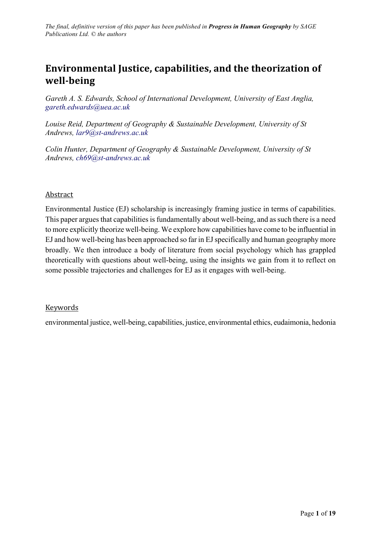# **Environmental Justice, capabilities, and the theorization of well-being**

*Gareth A. S. Edwards, School of International Development, University of East Anglia, gareth.edwards@uea.ac.uk*

*Louise Reid, Department of Geography & Sustainable Development, University of St Andrews, lar9@st-andrews.ac.uk*

*Colin Hunter, Department of Geography & Sustainable Development, University of St Andrews, ch69@st-andrews.ac.uk*

#### Abstract

Environmental Justice (EJ) scholarship is increasingly framing justice in terms of capabilities. This paper argues that capabilities is fundamentally about well-being, and as such there is a need to more explicitly theorize well-being. We explore how capabilities have come to be influential in EJ and how well-being has been approached so far in EJ specifically and human geography more broadly. We then introduce a body of literature from social psychology which has grappled theoretically with questions about well-being, using the insights we gain from it to reflect on some possible trajectories and challenges for EJ as it engages with well-being.

#### Keywords

environmental justice, well-being, capabilities, justice, environmental ethics, eudaimonia, hedonia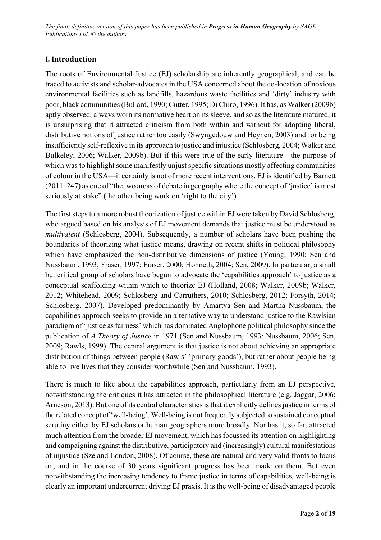### **I. Introduction**

The roots of Environmental Justice (EJ) scholarship are inherently geographical, and can be traced to activists and scholar-advocates in the USA concerned about the co-location of noxious environmental facilities such as landfills, hazardous waste facilities and 'dirty' industry with poor, black communities(Bullard, 1990; Cutter, 1995; Di Chiro, 1996). It has, as Walker (2009b) aptly observed, always worn its normative heart on its sleeve, and so as the literature matured, it is unsurprising that it attracted criticism from both within and without for adopting liberal, distributive notions of justice rather too easily (Swyngedouw and Heynen, 2003) and for being insufficiently self-reflexive in its approach to justice and injustice (Schlosberg, 2004; Walker and Bulkeley, 2006; Walker, 2009b). But if this were true of the early literature—the purpose of which was to highlight some manifestly unjust specific situations mostly affecting communities of colour in the USA—it certainly is not of more recent interventions. EJ is identified by Barnett (2011: 247) as one of "the two areas of debate in geography where the concept of 'justice' is most seriously at stake" (the other being work on 'right to the city')

The first steps to a more robust theorization of justice within EJ were taken by David Schlosberg, who argued based on his analysis of EJ movement demands that justice must be understood as *multivalent* (Schlosberg, 2004). Subsequently, a number of scholars have been pushing the boundaries of theorizing what justice means, drawing on recent shifts in political philosophy which have emphasized the non-distributive dimensions of justice (Young, 1990; Sen and Nussbaum, 1993; Fraser, 1997; Fraser, 2000; Honneth, 2004; Sen, 2009). In particular, a small but critical group of scholars have begun to advocate the 'capabilities approach' to justice as a conceptual scaffolding within which to theorize EJ (Holland, 2008; Walker, 2009b; Walker, 2012; Whitehead, 2009; Schlosberg and Carruthers, 2010; Schlosberg, 2012; Forsyth, 2014; Schlosberg, 2007). Developed predominantly by Amartya Sen and Martha Nussbaum, the capabilities approach seeks to provide an alternative way to understand justice to the Rawlsian paradigm of 'justice as fairness' which has dominated Anglophone political philosophy since the publication of *A Theory of Justice* in 1971 (Sen and Nussbaum, 1993; Nussbaum, 2006; Sen, 2009; Rawls, 1999). The central argument is that justice is not about achieving an appropriate distribution of things between people (Rawls' 'primary goods'), but rather about people being able to live lives that they consider worthwhile (Sen and Nussbaum, 1993).

There is much to like about the capabilities approach, particularly from an EJ perspective, notwithstanding the critiques it has attracted in the philosophical literature (e.g. Jaggar, 2006; Arneson, 2013). But one of its central characteristics is that it explicitly defines justice in terms of the related concept of 'well-being'. Well-being is not frequently subjected to sustained conceptual scrutiny either by EJ scholars or human geographers more broadly. Nor has it, so far, attracted much attention from the broader EJ movement, which has focussed its attention on highlighting and campaigning against the distributive, participatory and (increasingly) cultural manifestations of injustice (Sze and London, 2008). Of course, these are natural and very valid fronts to focus on, and in the course of 30 years significant progress has been made on them. But even notwithstanding the increasing tendency to frame justice in terms of capabilities, well-being is clearly an important undercurrent driving EJ praxis. It is the well-being of disadvantaged people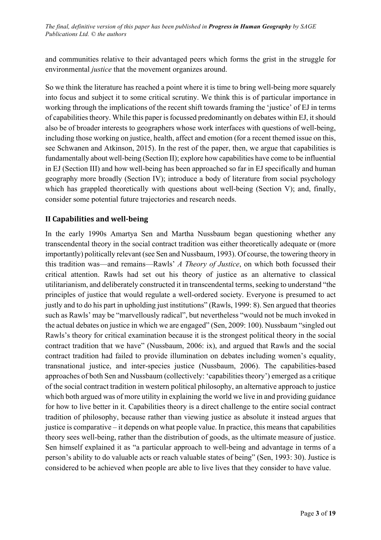and communities relative to their advantaged peers which forms the grist in the struggle for environmental *justice* that the movement organizes around.

So we think the literature has reached a point where it is time to bring well-being more squarely into focus and subject it to some critical scrutiny. We think this is of particular importance in working through the implications of the recent shift towards framing the 'justice' of EJ in terms of capabilities theory. While this paper is focussed predominantly on debates within EJ, it should also be of broader interests to geographers whose work interfaces with questions of well-being, including those working on justice, health, affect and emotion (for a recent themed issue on this, see Schwanen and Atkinson, 2015). In the rest of the paper, then, we argue that capabilities is fundamentally about well-being (Section II); explore how capabilities have come to be influential in EJ (Section III) and how well-being has been approached so far in EJ specifically and human geography more broadly (Section IV); introduce a body of literature from social psychology which has grappled theoretically with questions about well-being (Section V); and, finally, consider some potential future trajectories and research needs.

## **II Capabilities and well-being**

In the early 1990s Amartya Sen and Martha Nussbaum began questioning whether any transcendental theory in the social contract tradition was either theoretically adequate or (more importantly) politically relevant (see Sen and Nussbaum, 1993). Of course, the towering theory in this tradition was—and remains—Rawls' *A Theory of Justice*, on which both focussed their critical attention. Rawls had set out his theory of justice as an alternative to classical utilitarianism, and deliberately constructed it in transcendental terms, seeking to understand "the principles of justice that would regulate a well-ordered society. Everyone is presumed to act justly and to do his part in upholding just institutions" (Rawls, 1999: 8). Sen argued that theories such as Rawls' may be "marvellously radical", but nevertheless "would not be much invoked in the actual debates on justice in which we are engaged" (Sen, 2009: 100). Nussbaum "singled out Rawls's theory for critical examination because it is the strongest political theory in the social contract tradition that we have" (Nussbaum, 2006: ix), and argued that Rawls and the social contract tradition had failed to provide illumination on debates including women's equality, transnational justice, and inter-species justice (Nussbaum, 2006). The capabilities-based approaches of both Sen and Nussbaum (collectively: 'capabilities theory') emerged as a critique of the social contract tradition in western political philosophy, an alternative approach to justice which both argued was of more utility in explaining the world we live in and providing guidance for how to live better in it. Capabilities theory is a direct challenge to the entire social contract tradition of philosophy, because rather than viewing justice as absolute it instead argues that justice is comparative – it depends on what people value. In practice, this means that capabilities theory sees well-being, rather than the distribution of goods, as the ultimate measure of justice. Sen himself explained it as "a particular approach to well-being and advantage in terms of a person's ability to do valuable acts or reach valuable states of being" (Sen, 1993: 30). Justice is considered to be achieved when people are able to live lives that they consider to have value.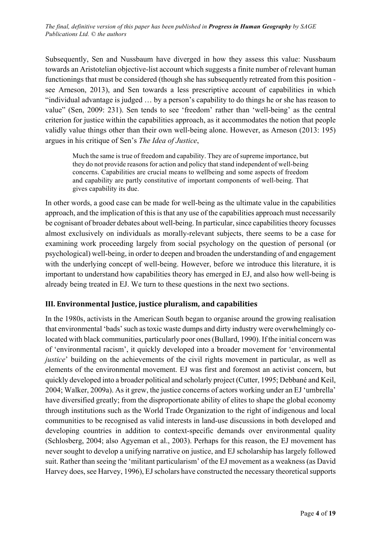Subsequently, Sen and Nussbaum have diverged in how they assess this value: Nussbaum towards an Aristotelian objective-list account which suggests a finite number of relevant human functionings that must be considered (though she has subsequently retreated from this position see Arneson, 2013), and Sen towards a less prescriptive account of capabilities in which "individual advantage is judged … by a person's capability to do things he or she has reason to value" (Sen, 2009: 231). Sen tends to see 'freedom' rather than 'well-being' as the central criterion for justice within the capabilities approach, as it accommodates the notion that people validly value things other than their own well-being alone. However, as Arneson (2013: 195) argues in his critique of Sen's *The Idea of Justice*,

Much the same is true of freedom and capability. They are of supreme importance, but they do not provide reasons for action and policy that stand independent of well-being concerns. Capabilities are crucial means to wellbeing and some aspects of freedom and capability are partly constitutive of important components of well-being. That gives capability its due.

In other words, a good case can be made for well-being as the ultimate value in the capabilities approach, and the implication of this is that any use of the capabilities approach must necessarily be cognisant of broader debates about well-being. In particular, since capabilities theory focusses almost exclusively on individuals as morally-relevant subjects, there seems to be a case for examining work proceeding largely from social psychology on the question of personal (or psychological) well-being, in order to deepen and broaden the understanding of and engagement with the underlying concept of well-being. However, before we introduce this literature, it is important to understand how capabilities theory has emerged in EJ, and also how well-being is already being treated in EJ. We turn to these questions in the next two sections.

### **III.** Environmental Justice, justice pluralism, and capabilities

In the 1980s, activists in the American South began to organise around the growing realisation that environmental 'bads' such as toxic waste dumps and dirty industry were overwhelmingly colocated with black communities, particularly poor ones (Bullard, 1990). If the initial concern was of 'environmental racism', it quickly developed into a broader movement for 'environmental *justice*' building on the achievements of the civil rights movement in particular, as well as elements of the environmental movement. EJ was first and foremost an activist concern, but quickly developed into a broader political and scholarly project (Cutter, 1995; Debbané and Keil, 2004; Walker, 2009a). As it grew, the justice concerns of actors working under an EJ 'umbrella' have diversified greatly; from the disproportionate ability of elites to shape the global economy through institutions such as the World Trade Organization to the right of indigenous and local communities to be recognised as valid interests in land-use discussions in both developed and developing countries in addition to context-specific demands over environmental quality (Schlosberg, 2004; also Agyeman et al., 2003). Perhaps for this reason, the EJ movement has never sought to develop a unifying narrative on justice, and EJ scholarship has largely followed suit. Rather than seeing the 'militant particularism' of the EJ movement as a weakness (as David Harvey does, see Harvey, 1996), EJ scholars have constructed the necessary theoretical supports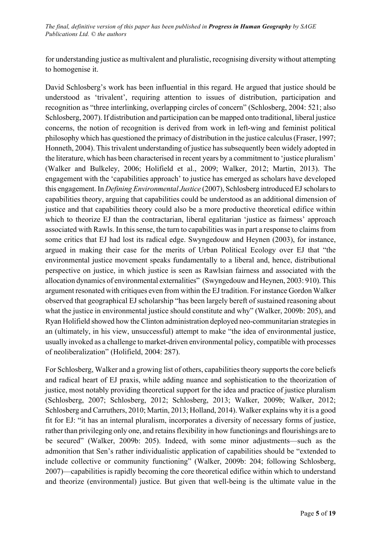for understanding justice as multivalent and pluralistic, recognising diversity without attempting to homogenise it.

David Schlosberg's work has been influential in this regard. He argued that justice should be understood as 'trivalent', requiring attention to issues of distribution, participation and recognition as "three interlinking, overlapping circles of concern" (Schlosberg, 2004: 521; also Schlosberg, 2007). If distribution and participation can be mapped onto traditional, liberal justice concerns, the notion of recognition is derived from work in left-wing and feminist political philosophy which has questioned the primacy of distribution in the justice calculus(Fraser, 1997; Honneth, 2004). This trivalent understanding of justice has subsequently been widely adopted in the literature, which has been characterised in recent years by a commitment to 'justice pluralism' (Walker and Bulkeley, 2006; Holifield et al., 2009; Walker, 2012; Martin, 2013). The engagement with the 'capabilities approach' to justice has emerged as scholars have developed this engagement. In *Defining Environmental Justice* (2007), Schlosberg introduced EJ scholars to capabilities theory, arguing that capabilities could be understood as an additional dimension of justice and that capabilities theory could also be a more productive theoretical edifice within which to theorize EJ than the contractarian, liberal egalitarian 'justice as fairness' approach associated with Rawls. In this sense, the turn to capabilities was in part a response to claims from some critics that EJ had lost its radical edge. Swyngedouw and Heynen (2003), for instance, argued in making their case for the merits of Urban Political Ecology over EJ that "the environmental justice movement speaks fundamentally to a liberal and, hence, distributional perspective on justice, in which justice is seen as Rawlsian fairness and associated with the allocation dynamics of environmental externalities" (Swyngedouw and Heynen, 2003: 910). This argument resonated with critiques even from within the EJ tradition. For instance Gordon Walker observed that geographical EJ scholarship "has been largely bereft of sustained reasoning about what the justice in environmental justice should constitute and why" (Walker, 2009b: 205), and Ryan Holifield showed how the Clinton administration deployed neo-communitarian strategies in an (ultimately, in his view, unsuccessful) attempt to make "the idea of environmental justice, usually invoked as a challenge to market-driven environmental policy, compatible with processes of neoliberalization" (Holifield, 2004: 287).

For Schlosberg, Walker and a growing list of others, capabilities theory supports the core beliefs and radical heart of EJ praxis, while adding nuance and sophistication to the theorization of justice, most notably providing theoretical support for the idea and practice of justice pluralism (Schlosberg, 2007; Schlosberg, 2012; Schlosberg, 2013; Walker, 2009b; Walker, 2012; Schlosberg and Carruthers, 2010; Martin, 2013; Holland, 2014). Walker explains why it is a good fit for EJ: "it has an internal pluralism, incorporates a diversity of necessary forms of justice, rather than privileging only one, and retains flexibility in how functionings and flourishings are to be secured" (Walker, 2009b: 205). Indeed, with some minor adjustments—such as the admonition that Sen's rather individualistic application of capabilities should be "extended to include collective or community functioning" (Walker, 2009b: 204; following Schlosberg, 2007)—capabilities is rapidly becoming the core theoretical edifice within which to understand and theorize (environmental) justice. But given that well-being is the ultimate value in the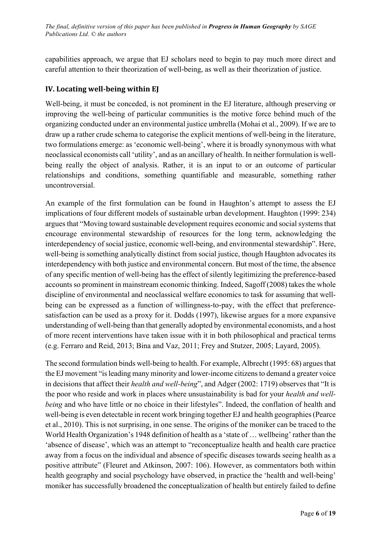capabilities approach, we argue that EJ scholars need to begin to pay much more direct and careful attention to their theorization of well-being, as well as their theorization of justice.

# **IV.** Locating well-being within EJ

Well-being, it must be conceded, is not prominent in the EJ literature, although preserving or improving the well-being of particular communities is the motive force behind much of the organizing conducted under an environmental justice umbrella (Mohai et al., 2009). If we are to draw up a rather crude schema to categorise the explicit mentions of well-being in the literature, two formulations emerge: as 'economic well-being', where it is broadly synonymous with what neoclassical economists call 'utility', and as an ancillary of health. In neither formulation is wellbeing really the object of analysis. Rather, it is an input to or an outcome of particular relationships and conditions, something quantifiable and measurable, something rather uncontroversial.

An example of the first formulation can be found in Haughton's attempt to assess the EJ implications of four different models of sustainable urban development. Haughton (1999: 234) argues that "Moving toward sustainable development requires economic and social systems that encourage environmental stewardship of resources for the long term, acknowledging the interdependency of social justice, economic well-being, and environmental stewardship". Here, well-being is something analytically distinct from social justice, though Haughton advocates its interdependency with both justice and environmental concern. But most of the time, the absence of any specific mention of well-being has the effect of silently legitimizing the preference-based accounts so prominent in mainstream economic thinking. Indeed, Sagoff (2008) takes the whole discipline of environmental and neoclassical welfare economics to task for assuming that wellbeing can be expressed as a function of willingness-to-pay, with the effect that preferencesatisfaction can be used as a proxy for it. Dodds (1997), likewise argues for a more expansive understanding of well-being than that generally adopted by environmental economists, and a host of more recent interventions have taken issue with it in both philosophical and practical terms (e.g. Ferraro and Reid, 2013; Bina and Vaz, 2011; Frey and Stutzer, 2005; Layard, 2005).

The second formulation binds well-being to health. For example, Albrecht (1995: 68) argues that the EJ movement "is leading many minority and lower-income citizens to demand a greater voice in decisions that affect their *health and well-being*", and Adger (2002: 1719) observes that "It is the poor who reside and work in places where unsustainability is bad for your *health and wellbeing* and who have little or no choice in their lifestyles". Indeed, the conflation of health and well-being is even detectable in recent work bringing together EJ and health geographies (Pearce et al., 2010). This is not surprising, in one sense. The origins of the moniker can be traced to the World Health Organization's 1948 definition of health as a 'state of … wellbeing' rather than the 'absence of disease', which was an attempt to "reconceptualize health and health care practice away from a focus on the individual and absence of specific diseases towards seeing health as a positive attribute" (Fleuret and Atkinson, 2007: 106). However, as commentators both within health geography and social psychology have observed, in practice the 'health and well-being' moniker has successfully broadened the conceptualization of health but entirely failed to define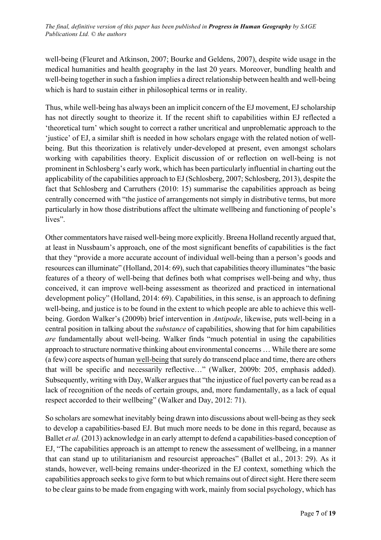well-being (Fleuret and Atkinson, 2007; Bourke and Geldens, 2007), despite wide usage in the medical humanities and health geography in the last 20 years. Moreover, bundling health and well-being together in such a fashion implies a direct relationship between health and well-being which is hard to sustain either in philosophical terms or in reality.

Thus, while well-being has always been an implicit concern of the EJ movement, EJ scholarship has not directly sought to theorize it. If the recent shift to capabilities within EJ reflected a 'theoretical turn' which sought to correct a rather uncritical and unproblematic approach to the 'justice' of EJ, a similar shift is needed in how scholars engage with the related notion of wellbeing. But this theorization is relatively under-developed at present, even amongst scholars working with capabilities theory. Explicit discussion of or reflection on well-being is not prominent in Schlosberg's early work, which has been particularly influential in charting out the applicability of the capabilities approach to EJ(Schlosberg, 2007; Schlosberg, 2013), despite the fact that Schlosberg and Carruthers (2010: 15) summarise the capabilities approach as being centrally concerned with "the justice of arrangements not simply in distributive terms, but more particularly in how those distributions affect the ultimate wellbeing and functioning of people's lives".

Other commentators have raised well-being more explicitly. Breena Holland recently argued that, at least in Nussbaum's approach, one of the most significant benefits of capabilities is the fact that they "provide a more accurate account of individual well-being than a person's goods and resources can illuminate" (Holland, 2014: 69), such that capabilities theory illuminates "the basic features of a theory of well-being that defines both what comprises well-being and why, thus conceived, it can improve well-being assessment as theorized and practiced in international development policy" (Holland, 2014: 69). Capabilities, in this sense, is an approach to defining well-being, and justice is to be found in the extent to which people are able to achieve this wellbeing. Gordon Walker's (2009b) brief intervention in *Antipode*, likewise, puts well-being in a central position in talking about the *substance* of capabilities, showing that for him capabilities *are* fundamentally about well-being. Walker finds "much potential in using the capabilities approach to structure normative thinking about environmental concerns … While there are some (a few) core aspects of human well-being thatsurely do transcend place and time, there are others that will be specific and necessarily reflective…" (Walker, 2009b: 205, emphasis added). Subsequently, writing with Day, Walker argues that "the injustice of fuel poverty can be read as a lack of recognition of the needs of certain groups, and, more fundamentally, as a lack of equal respect accorded to their wellbeing" (Walker and Day, 2012: 71).

So scholars are somewhat inevitably being drawn into discussions about well-being as they seek to develop a capabilities-based EJ. But much more needs to be done in this regard, because as Ballet *et al.* (2013) acknowledge in an early attempt to defend a capabilities-based conception of EJ, "The capabilities approach is an attempt to renew the assessment of wellbeing, in a manner that can stand up to utilitarianism and resourcist approaches" (Ballet et al., 2013: 29). As it stands, however, well-being remains under-theorized in the EJ context, something which the capabilities approach seeks to give form to but which remains out of direct sight. Here there seem to be clear gains to be made from engaging with work, mainly from social psychology, which has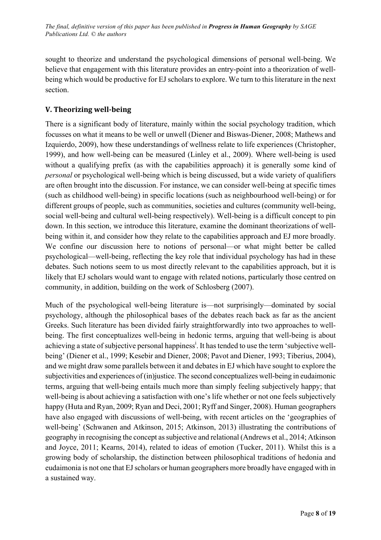sought to theorize and understand the psychological dimensions of personal well-being. We believe that engagement with this literature provides an entry-point into a theorization of wellbeing which would be productive for EJ scholars to explore. We turn to this literature in the next section.

# **V. Theorizing well-being**

There is a significant body of literature, mainly within the social psychology tradition, which focusses on what it means to be well or unwell (Diener and Biswas-Diener, 2008; Mathews and Izquierdo, 2009), how these understandings of wellness relate to life experiences (Christopher, 1999), and how well-being can be measured (Linley et al., 2009). Where well-being is used without a qualifying prefix (as with the capabilities approach) it is generally some kind of *personal* or psychological well-being which is being discussed, but a wide variety of qualifiers are often brought into the discussion. For instance, we can consider well-being at specific times (such as childhood well-being) in specific locations (such as neighbourhood well-being) or for different groups of people, such as communities, societies and cultures (community well-being, social well-being and cultural well-being respectively). Well-being is a difficult concept to pin down. In this section, we introduce this literature, examine the dominant theorizations of wellbeing within it, and consider how they relate to the capabilities approach and EJ more broadly. We confine our discussion here to notions of personal—or what might better be called psychological—well-being, reflecting the key role that individual psychology has had in these debates. Such notions seem to us most directly relevant to the capabilities approach, but it is likely that EJ scholars would want to engage with related notions, particularly those centred on community, in addition, building on the work of Schlosberg (2007).

Much of the psychological well-being literature is—not surprisingly—dominated by social psychology, although the philosophical bases of the debates reach back as far as the ancient Greeks. Such literature has been divided fairly straightforwardly into two approaches to wellbeing. The first conceptualizes well-being in hedonic terms, arguing that well-being is about achieving a state of subjective personal happiness<sup>i</sup>. It has tended to use the term 'subjective wellbeing' (Diener et al., 1999; Kesebir and Diener, 2008; Pavot and Diener, 1993; Tiberius, 2004), and we might draw some parallels between it and debates in EJ which have sought to explore the subjectivities and experiences of (in)justice. The second conceptualizes well-being in eudaimonic terms, arguing that well-being entails much more than simply feeling subjectively happy; that well-being is about achieving a satisfaction with one's life whether or not one feels subjectively happy (Huta and Ryan, 2009; Ryan and Deci, 2001; Ryff and Singer, 2008). Human geographers have also engaged with discussions of well-being, with recent articles on the 'geographies of well-being' (Schwanen and Atkinson, 2015; Atkinson, 2013) illustrating the contributions of geography in recognising the concept as subjective and relational (Andrews et al., 2014; Atkinson and Joyce, 2011; Kearns, 2014), related to ideas of emotion (Tucker, 2011). Whilst this is a growing body of scholarship, the distinction between philosophical traditions of hedonia and eudaimonia is not one that EJ scholars or human geographers more broadly have engaged with in a sustained way.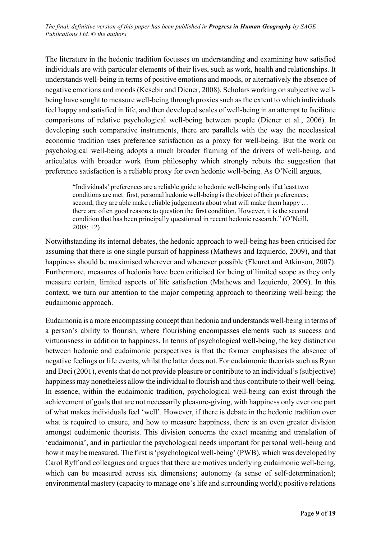The literature in the hedonic tradition focusses on understanding and examining how satisfied individuals are with particular elements of their lives, such as work, health and relationships. It understands well-being in terms of positive emotions and moods, or alternatively the absence of negative emotions and moods(Kesebir and Diener, 2008). Scholars working on subjective wellbeing have sought to measure well-being through proxies such as the extent to which individuals feel happy and satisfied in life, and then developed scales of well-being in an attempt to facilitate comparisons of relative psychological well-being between people (Diener et al., 2006). In developing such comparative instruments, there are parallels with the way the neoclassical economic tradition uses preference satisfaction as a proxy for well-being. But the work on psychological well-being adopts a much broader framing of the drivers of well-being, and articulates with broader work from philosophy which strongly rebuts the suggestion that preference satisfaction is a reliable proxy for even hedonic well-being. As O'Neill argues,

"Individuals' preferences are a reliable guide to hedonic well-being only if at least two conditions are met: first, personal hedonic well-being is the object of their preferences; second, they are able make reliable judgements about what will make them happy ... there are often good reasons to question the first condition. However, it is the second condition that has been principally questioned in recent hedonic research." (O'Neill, 2008: 12)

Notwithstanding its internal debates, the hedonic approach to well-being has been criticised for assuming that there is one single pursuit of happiness (Mathews and Izquierdo, 2009), and that happiness should be maximised wherever and whenever possible (Fleuret and Atkinson, 2007). Furthermore, measures of hedonia have been criticised for being of limited scope as they only measure certain, limited aspects of life satisfaction (Mathews and Izquierdo, 2009). In this context, we turn our attention to the major competing approach to theorizing well-being: the eudaimonic approach.

Eudaimonia is a more encompassing concept than hedonia and understands well-being in terms of a person's ability to flourish, where flourishing encompasses elements such as success and virtuousness in addition to happiness. In terms of psychological well-being, the key distinction between hedonic and eudaimonic perspectives is that the former emphasises the absence of negative feelings or life events, whilst the latter does not. For eudaimonic theorists such as Ryan and Deci (2001), events that do not provide pleasure or contribute to an individual's (subjective) happiness may nonetheless allow the individual to flourish and thus contribute to their well-being. In essence, within the eudaimonic tradition, psychological well-being can exist through the achievement of goals that are not necessarily pleasure-giving, with happiness only ever one part of what makes individuals feel 'well'. However, if there is debate in the hedonic tradition over what is required to ensure, and how to measure happiness, there is an even greater division amongst eudaimonic theorists. This division concerns the exact meaning and translation of 'eudaimonia', and in particular the psychological needs important for personal well-being and how it may be measured. The first is 'psychological well-being' (PWB), which was developed by Carol Ryff and colleagues and argues that there are motives underlying eudaimonic well-being, which can be measured across six dimensions; autonomy (a sense of self-determination); environmental mastery (capacity to manage one's life and surrounding world); positive relations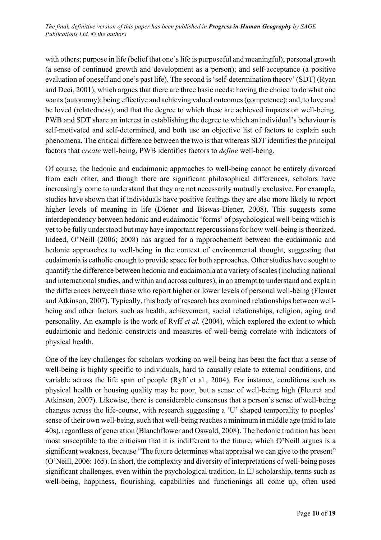with others; purpose in life (belief that one's life is purposeful and meaningful); personal growth (a sense of continued growth and development as a person); and self-acceptance (a positive evaluation of oneself and one's past life). The second is 'self-determination theory' (SDT) (Ryan and Deci, 2001), which argues that there are three basic needs: having the choice to do what one wants (autonomy); being effective and achieving valued outcomes (competence); and, to love and be loved (relatedness), and that the degree to which these are achieved impacts on well-being. PWB and SDT share an interest in establishing the degree to which an individual's behaviour is self-motivated and self-determined, and both use an objective list of factors to explain such phenomena. The critical difference between the two is that whereas SDT identifies the principal factors that *create* well-being, PWB identifies factors to *define* well-being.

Of course, the hedonic and eudaimonic approaches to well-being cannot be entirely divorced from each other, and though there are significant philosophical differences, scholars have increasingly come to understand that they are not necessarily mutually exclusive. For example, studies have shown that if individuals have positive feelings they are also more likely to report higher levels of meaning in life (Diener and Biswas-Diener, 2008). This suggests some interdependency between hedonic and eudaimonic 'forms' of psychological well-being which is yet to be fully understood but may have important repercussions for how well-being is theorized. Indeed, O'Neill (2006; 2008) has argued for a rapprochement between the eudaimonic and hedonic approaches to well-being in the context of environmental thought, suggesting that eudaimonia is catholic enough to provide space for both approaches. Other studies have sought to quantify the difference between hedonia and eudaimonia at a variety of scales (including national and international studies, and within and across cultures), in an attempt to understand and explain the differences between those who report higher or lower levels of personal well-being (Fleuret and Atkinson, 2007). Typically, this body of research has examined relationships between wellbeing and other factors such as health, achievement, social relationships, religion, aging and personality. An example is the work of Ryff *et al.* (2004), which explored the extent to which eudaimonic and hedonic constructs and measures of well-being correlate with indicators of physical health.

One of the key challenges for scholars working on well-being has been the fact that a sense of well-being is highly specific to individuals, hard to causally relate to external conditions, and variable across the life span of people (Ryff et al., 2004). For instance, conditions such as physical health or housing quality may be poor, but a sense of well-being high (Fleuret and Atkinson, 2007). Likewise, there is considerable consensus that a person's sense of well-being changes across the life-course, with research suggesting a 'U' shaped temporality to peoples' sense of their own well-being, such that well-being reaches a minimum in middle age (mid to late 40s), regardless of generation (Blanchflower and Oswald, 2008). The hedonic tradition has been most susceptible to the criticism that it is indifferent to the future, which O'Neill argues is a significant weakness, because "The future determines what appraisal we can give to the present" (O'Neill, 2006: 165). In short, the complexity and diversity of interpretations of well-being poses significant challenges, even within the psychological tradition. In EJ scholarship, terms such as well-being, happiness, flourishing, capabilities and functionings all come up, often used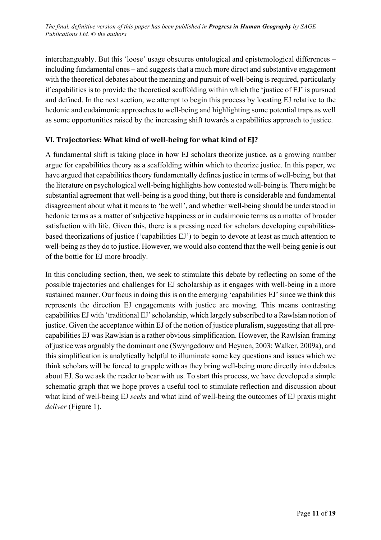interchangeably. But this 'loose' usage obscures ontological and epistemological differences – including fundamental ones – and suggests that a much more direct and substantive engagement with the theoretical debates about the meaning and pursuit of well-being is required, particularly if capabilities is to provide the theoretical scaffolding within which the 'justice of EJ' is pursued and defined. In the next section, we attempt to begin this process by locating EJ relative to the hedonic and eudaimonic approaches to well-being and highlighting some potential traps as well as some opportunities raised by the increasing shift towards a capabilities approach to justice.

# **VI. Trajectories: What kind of well-being for what kind of EJ?**

A fundamental shift is taking place in how EJ scholars theorize justice, as a growing number argue for capabilities theory as a scaffolding within which to theorize justice. In this paper, we have argued that capabilities theory fundamentally defines justice in terms of well-being, but that the literature on psychological well-being highlights how contested well-being is. There might be substantial agreement that well-being is a good thing, but there is considerable and fundamental disagreement about what it means to 'be well', and whether well-being should be understood in hedonic terms as a matter of subjective happiness or in eudaimonic terms as a matter of broader satisfaction with life. Given this, there is a pressing need for scholars developing capabilitiesbased theorizations of justice ('capabilities EJ') to begin to devote at least as much attention to well-being as they do to justice. However, we would also contend that the well-being genie is out of the bottle for EJ more broadly.

In this concluding section, then, we seek to stimulate this debate by reflecting on some of the possible trajectories and challenges for EJ scholarship as it engages with well-being in a more sustained manner. Our focus in doing this is on the emerging 'capabilities EJ' since we think this represents the direction EJ engagements with justice are moving. This means contrasting capabilities EJ with 'traditional EJ' scholarship, which largely subscribed to a Rawlsian notion of justice. Given the acceptance within EJ of the notion of justice pluralism, suggesting that all precapabilities EJ was Rawlsian is a rather obvious simplification. However, the Rawlsian framing of justice was arguably the dominant one (Swyngedouw and Heynen, 2003; Walker, 2009a), and this simplification is analytically helpful to illuminate some key questions and issues which we think scholars will be forced to grapple with as they bring well-being more directly into debates about EJ. So we ask the reader to bear with us. To start this process, we have developed a simple schematic graph that we hope proves a useful tool to stimulate reflection and discussion about what kind of well-being EJ *seeks* and what kind of well-being the outcomes of EJ praxis might *deliver* (Figure 1).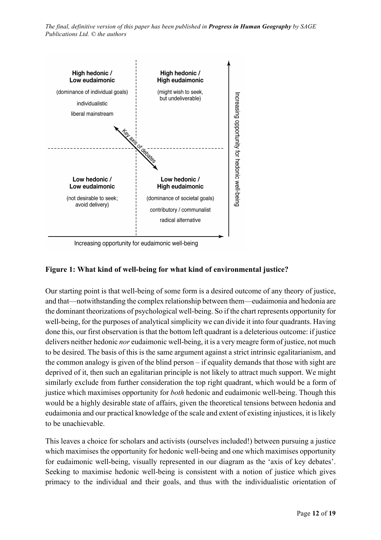

Increasing opportunity for eudaimonic well-being

### **Figure 1: What kind of well-being for what kind of environmental justice?**

Our starting point is that well-being of some form is a desired outcome of any theory of justice, and that—notwithstanding the complex relationship between them—eudaimonia and hedonia are the dominant theorizations of psychological well-being. So if the chart represents opportunity for well-being, for the purposes of analytical simplicity we can divide it into four quadrants. Having done this, our first observation is that the bottom left quadrant is a deleterious outcome: if justice delivers neither hedonic *nor* eudaimonic well-being, it is a very meagre form of justice, not much to be desired. The basis of this is the same argument against a strict intrinsic egalitarianism, and the common analogy is given of the blind person – if equality demands that those with sight are deprived of it, then such an egalitarian principle is not likely to attract much support. We might similarly exclude from further consideration the top right quadrant, which would be a form of justice which maximises opportunity for *both* hedonic and eudaimonic well-being. Though this would be a highly desirable state of affairs, given the theoretical tensions between hedonia and eudaimonia and our practical knowledge of the scale and extent of existing injustices, it is likely to be unachievable.

This leaves a choice for scholars and activists (ourselves included!) between pursuing a justice which maximises the opportunity for hedonic well-being and one which maximises opportunity for eudaimonic well-being, visually represented in our diagram as the 'axis of key debates'. Seeking to maximise hedonic well-being is consistent with a notion of justice which gives primacy to the individual and their goals, and thus with the individualistic orientation of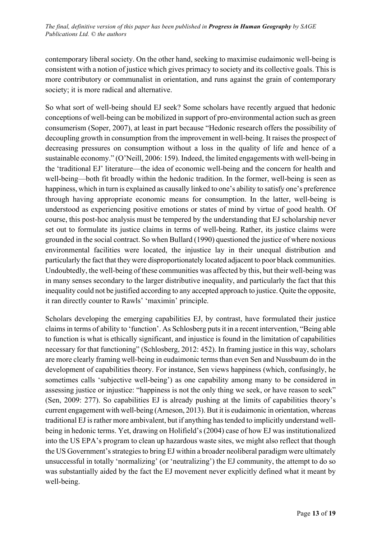contemporary liberal society. On the other hand, seeking to maximise eudaimonic well-being is consistent with a notion of justice which gives primacy to society and its collective goals. This is more contributory or communalist in orientation, and runs against the grain of contemporary society; it is more radical and alternative.

So what sort of well-being should EJ seek? Some scholars have recently argued that hedonic conceptions of well-being can be mobilized in support of pro-environmental action such as green consumerism (Soper, 2007), at least in part because "Hedonic research offers the possibility of decoupling growth in consumption from the improvement in well-being. It raises the prospect of decreasing pressures on consumption without a loss in the quality of life and hence of a sustainable economy." (O'Neill, 2006: 159). Indeed, the limited engagements with well-being in the 'traditional EJ' literature—the idea of economic well-being and the concern for health and well-being—both fit broadly within the hedonic tradition. In the former, well-being is seen as happiness, which in turn is explained as causally linked to one's ability to satisfy one's preference through having appropriate economic means for consumption. In the latter, well-being is understood as experiencing positive emotions or states of mind by virtue of good health. Of course, this post-hoc analysis must be tempered by the understanding that EJ scholarship never set out to formulate its justice claims in terms of well-being. Rather, its justice claims were grounded in the social contract. So when Bullard (1990) questioned the justice of where noxious environmental facilities were located, the injustice lay in their unequal distribution and particularly the fact that they were disproportionately located adjacent to poor black communities. Undoubtedly, the well-being of these communities was affected by this, but their well-being was in many senses secondary to the larger distributive inequality, and particularly the fact that this inequality could not be justified according to any accepted approach to justice. Quite the opposite, it ran directly counter to Rawls' 'maximin' principle.

Scholars developing the emerging capabilities EJ, by contrast, have formulated their justice claims in terms of ability to 'function'. As Schlosberg puts it in a recent intervention, "Being able to function is what is ethically significant, and injustice is found in the limitation of capabilities necessary for that functioning" (Schlosberg, 2012: 452). In framing justice in this way, scholars are more clearly framing well-being in eudaimonic terms than even Sen and Nussbaum do in the development of capabilities theory. For instance, Sen views happiness (which, confusingly, he sometimes calls 'subjective well-being') as one capability among many to be considered in assessing justice or injustice: "happiness is not the only thing we seek, or have reason to seek" (Sen, 2009: 277). So capabilities EJ is already pushing at the limits of capabilities theory's current engagement with well-being (Arneson, 2013). But it is eudaimonic in orientation, whereas traditional EJ is rather more ambivalent, but if anything has tended to implicitly understand wellbeing in hedonic terms. Yet, drawing on Holifield's (2004) case of how EJ was institutionalized into the US EPA's program to clean up hazardous waste sites, we might also reflect that though the US Government's strategies to bring EJ within a broader neoliberal paradigm were ultimately unsuccessful in totally 'normalizing' (or 'neutralizing') the EJ community, the attempt to do so was substantially aided by the fact the EJ movement never explicitly defined what it meant by well-being.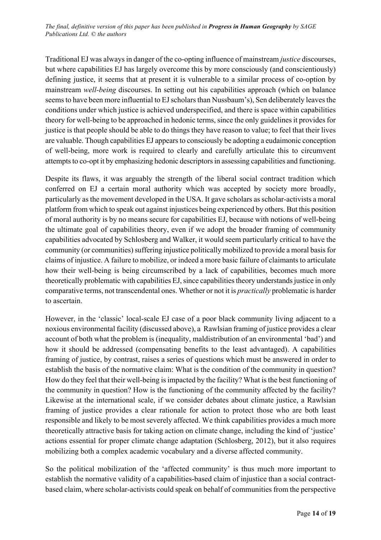Traditional EJ was always in danger of the co-opting influence of mainstream *justice* discourses, but where capabilities EJ has largely overcome this by more consciously (and conscientiously) defining justice, it seems that at present it is vulnerable to a similar process of co-option by mainstream *well-being* discourses. In setting out his capabilities approach (which on balance seems to have been more influential to EJ scholars than Nussbaum's), Sen deliberately leaves the conditions under which justice is achieved underspecified, and there is space within capabilities theory for well-being to be approached in hedonic terms, since the only guidelines it provides for justice is that people should be able to do things they have reason to value; to feel that their lives are valuable. Though capabilities EJ appears to consciously be adopting a eudaimonic conception of well-being, more work is required to clearly and carefully articulate this to circumvent attempts to co-opt it by emphasizing hedonic descriptors in assessing capabilities and functioning.

Despite its flaws, it was arguably the strength of the liberal social contract tradition which conferred on EJ a certain moral authority which was accepted by society more broadly, particularly as the movement developed in the USA. It gave scholars as scholar-activists a moral platform from which to speak out against injustices being experienced by others. But this position of moral authority is by no means secure for capabilities EJ, because with notions of well-being the ultimate goal of capabilities theory, even if we adopt the broader framing of community capabilities advocated by Schlosberg and Walker, it would seem particularly critical to have the community (or communities) suffering injustice politically mobilized to provide a moral basis for claims of injustice. A failure to mobilize, or indeed a more basic failure of claimants to articulate how their well-being is being circumscribed by a lack of capabilities, becomes much more theoretically problematic with capabilities EJ, since capabilities theory understands justice in only comparative terms, not transcendental ones. Whether or not it is *practically* problematic is harder to ascertain.

However, in the 'classic' local-scale EJ case of a poor black community living adjacent to a noxious environmental facility (discussed above), a Rawlsian framing of justice provides a clear account of both what the problem is (inequality, maldistribution of an environmental 'bad') and how it should be addressed (compensating benefits to the least advantaged). A capabilities framing of justice, by contrast, raises a series of questions which must be answered in order to establish the basis of the normative claim: What is the condition of the community in question? How do they feel that their well-being is impacted by the facility? What is the best functioning of the community in question? How is the functioning of the community affected by the facility? Likewise at the international scale, if we consider debates about climate justice, a Rawlsian framing of justice provides a clear rationale for action to protect those who are both least responsible and likely to be most severely affected. We think capabilities provides a much more theoretically attractive basis for taking action on climate change, including the kind of 'justice' actions essential for proper climate change adaptation (Schlosberg, 2012), but it also requires mobilizing both a complex academic vocabulary and a diverse affected community.

So the political mobilization of the 'affected community' is thus much more important to establish the normative validity of a capabilities-based claim of injustice than a social contractbased claim, where scholar-activists could speak on behalf of communities from the perspective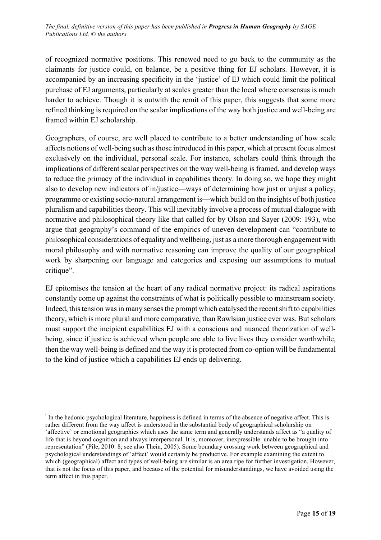of recognized normative positions. This renewed need to go back to the community as the claimants for justice could, on balance, be a positive thing for EJ scholars. However, it is accompanied by an increasing specificity in the 'justice' of EJ which could limit the political purchase of EJ arguments, particularly at scales greater than the local where consensus is much harder to achieve. Though it is outwith the remit of this paper, this suggests that some more refined thinking is required on the scalar implications of the way both justice and well-being are framed within EJ scholarship.

Geographers, of course, are well placed to contribute to a better understanding of how scale affects notions of well-being such as those introduced in this paper, which at present focus almost exclusively on the individual, personal scale. For instance, scholars could think through the implications of different scalar perspectives on the way well-being is framed, and develop ways to reduce the primacy of the individual in capabilities theory. In doing so, we hope they might also to develop new indicators of in/justice—ways of determining how just or unjust a policy, programme or existing socio-natural arrangement is—which build on the insights of both justice pluralism and capabilities theory. This will inevitably involve a process of mutual dialogue with normative and philosophical theory like that called for by Olson and Sayer (2009: 193), who argue that geography's command of the empirics of uneven development can "contribute to philosophical considerations of equality and wellbeing, just as a more thorough engagement with moral philosophy and with normative reasoning can improve the quality of our geographical work by sharpening our language and categories and exposing our assumptions to mutual critique".

EJ epitomises the tension at the heart of any radical normative project: its radical aspirations constantly come up against the constraints of what is politically possible to mainstream society. Indeed, this tension was in many senses the prompt which catalysed the recent shift to capabilities theory, which is more plural and more comparative, than Rawlsian justice ever was. But scholars must support the incipient capabilities EJ with a conscious and nuanced theorization of wellbeing, since if justice is achieved when people are able to live lives they consider worthwhile, then the way well-being is defined and the way it is protected from co-option will be fundamental to the kind of justice which a capabilities EJ ends up delivering.

<sup>|&</sup>lt;br>i  $\frac{1}{1}$  In the hedonic psychological literature, happiness is defined in terms of the absence of negative affect. This is rather different from the way affect is understood in the substantial body of geographical scholarship on 'affective' or emotional geographies which uses the same term and generally understands affect as "a quality of life that is beyond cognition and always interpersonal. It is, moreover, inexpressible: unable to be brought into representation" (Pile, 2010: 8; see also Thein, 2005). Some boundary crossing work between geographical and psychological understandings of 'affect' would certainly be productive. For example examining the extent to which (geographical) affect and types of well-being are similar is an area ripe for further investigation. However, that is not the focus of this paper, and because of the potential for misunderstandings, we have avoided using the term affect in this paper.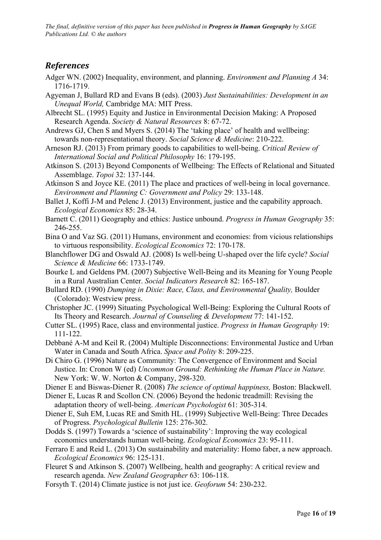# *References*

- Adger WN. (2002) Inequality, environment, and planning. *Environment and Planning A* 34: 1716-1719.
- Agyeman J, Bullard RD and Evans B (eds). (2003) *Just Sustainabilities: Development in an Unequal World,* Cambridge MA: MIT Press.
- Albrecht SL. (1995) Equity and Justice in Environmental Decision Making: A Proposed Research Agenda. *Society & Natural Resources* 8: 67-72.
- Andrews GJ, Chen S and Myers S. (2014) The 'taking place' of health and wellbeing: towards non-representational theory. *Social Science & Medicine*: 210-222.
- Arneson RJ. (2013) From primary goods to capabilities to well-being. *Critical Review of International Social and Political Philosophy* 16: 179-195.
- Atkinson S. (2013) Beyond Components of Wellbeing: The Effects of Relational and Situated Assemblage. *Topoi* 32: 137-144.
- Atkinson S and Joyce KE. (2011) The place and practices of well-being in local governance. *Environment and Planning C: Government and Policy* 29: 133-148.
- Ballet J, Koffi J-M and Pelenc J. (2013) Environment, justice and the capability approach. *Ecological Economics* 85: 28-34.
- Barnett C. (2011) Geography and ethics: Justice unbound. *Progress in Human Geography* 35: 246-255.
- Bina O and Vaz SG. (2011) Humans, environment and economies: from vicious relationships to virtuous responsibility. *Ecological Economics* 72: 170-178.
- Blanchflower DG and Oswald AJ. (2008) Is well-being U-shaped over the life cycle? *Social Science & Medicine* 66: 1733-1749.
- Bourke L and Geldens PM. (2007) Subjective Well-Being and its Meaning for Young People in a Rural Australian Center. *Social Indicators Research* 82: 165-187.
- Bullard RD. (1990) *Dumping in Dixie: Race, Class, and Environmental Quality,* Boulder (Colorado): Westview press.
- Christopher JC. (1999) Situating Psychological Well-Being: Exploring the Cultural Roots of Its Theory and Research. *Journal of Counseling & Development* 77: 141-152.
- Cutter SL. (1995) Race, class and environmental justice. *Progress in Human Geography* 19: 111-122.
- Debbané A-M and Keil R. (2004) Multiple Disconnections: Environmental Justice and Urban Water in Canada and South Africa. *Space and Polity* 8: 209-225.
- Di Chiro G. (1996) Nature as Community: The Convergence of Environment and Social Justice. In: Cronon W (ed) *Uncommon Ground: Rethinking the Human Place in Nature.* New York: W. W. Norton & Company, 298-320.
- Diener E and Biswas-Diener R. (2008) *The science of optimal happiness,* Boston: Blackwell.
- Diener E, Lucas R and Scollon CN. (2006) Beyond the hedonic treadmill: Revising the adaptation theory of well-being. *American Psychologist* 61: 305-314.
- Diener E, Suh EM, Lucas RE and Smith HL. (1999) Subjective Well-Being: Three Decades of Progress. *Psychological Bulletin* 125: 276-302.
- Dodds S. (1997) Towards a 'science of sustainability': Improving the way ecological economics understands human well-being. *Ecological Economics* 23: 95-111.
- Ferraro E and Reid L. (2013) On sustainability and materiality: Homo faber, a new approach. *Ecological Economics* 96: 125-131.
- Fleuret S and Atkinson S. (2007) Wellbeing, health and geography: A critical review and research agenda. *New Zealand Geographer* 63: 106-118.
- Forsyth T. (2014) Climate justice is not just ice. *Geoforum* 54: 230-232.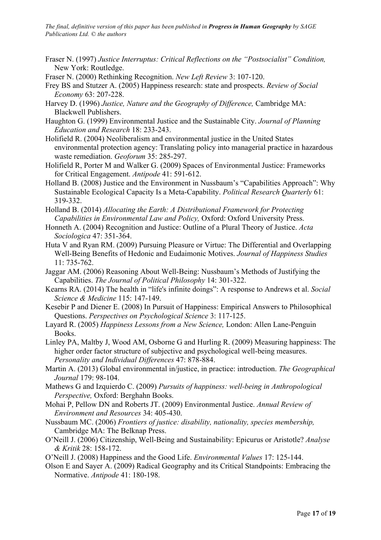Fraser N. (1997) *Justice Interruptus: Critical Reflections on the "Postsocialist" Condition,*  New York: Routledge.

Fraser N. (2000) Rethinking Recognition. *New Left Review* 3: 107-120.

- Frey BS and Stutzer A. (2005) Happiness research: state and prospects. *Review of Social Economy* 63: 207-228.
- Harvey D. (1996) *Justice, Nature and the Geography of Difference,* Cambridge MA: Blackwell Publishers.
- Haughton G. (1999) Environmental Justice and the Sustainable City. *Journal of Planning Education and Research* 18: 233-243.
- Holifield R. (2004) Neoliberalism and environmental justice in the United States environmental protection agency: Translating policy into managerial practice in hazardous waste remediation. *Geoforum* 35: 285-297.
- Holifield R, Porter M and Walker G. (2009) Spaces of Environmental Justice: Frameworks for Critical Engagement. *Antipode* 41: 591-612.
- Holland B. (2008) Justice and the Environment in Nussbaum's "Capabilities Approach": Why Sustainable Ecological Capacity Is a Meta-Capability. *Political Research Quarterly* 61: 319-332.
- Holland B. (2014) *Allocating the Earth: A Distributional Framework for Protecting Capabilities in Environmental Law and Policy,* Oxford: Oxford University Press.
- Honneth A. (2004) Recognition and Justice: Outline of a Plural Theory of Justice. *Acta Sociologica* 47: 351-364.
- Huta V and Ryan RM. (2009) Pursuing Pleasure or Virtue: The Differential and Overlapping Well-Being Benefits of Hedonic and Eudaimonic Motives. *Journal of Happiness Studies* 11: 735-762.
- Jaggar AM. (2006) Reasoning About Well-Being: Nussbaum's Methods of Justifying the Capabilities. *The Journal of Political Philosophy* 14: 301-322.
- Kearns RA. (2014) The health in "life's infinite doings": A response to Andrews et al. *Social Science & Medicine* 115: 147-149.
- Kesebir P and Diener E. (2008) In Pursuit of Happiness: Empirical Answers to Philosophical Questions. *Perspectives on Psychological Science* 3: 117-125.
- Layard R. (2005) *Happiness Lessons from a New Science,* London: Allen Lane-Penguin Books.
- Linley PA, Maltby J, Wood AM, Osborne G and Hurling R. (2009) Measuring happiness: The higher order factor structure of subjective and psychological well-being measures. *Personality and Individual Differences* 47: 878-884.
- Martin A. (2013) Global environmental in/justice, in practice: introduction. *The Geographical Journal* 179: 98-104.
- Mathews G and Izquierdo C. (2009) *Pursuits of happiness: well-being in Anthropological Perspective,* Oxford: Berghahn Books.
- Mohai P, Pellow DN and Roberts JT. (2009) Environmental Justice. *Annual Review of Environment and Resources* 34: 405-430.
- Nussbaum MC. (2006) *Frontiers of justice: disability, nationality, species membership,*  Cambridge MA: The Belknap Press.
- O'Neill J. (2006) Citizenship, Well-Being and Sustainability: Epicurus or Aristotle? *Analyse & Kritik* 28: 158-172.
- O'Neill J. (2008) Happiness and the Good Life. *Environmental Values* 17: 125-144.
- Olson E and Sayer A. (2009) Radical Geography and its Critical Standpoints: Embracing the Normative. *Antipode* 41: 180-198.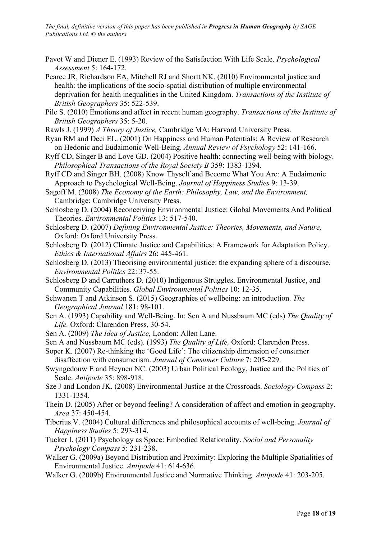- Pavot W and Diener E. (1993) Review of the Satisfaction With Life Scale. *Psychological Assessment* 5: 164-172.
- Pearce JR, Richardson EA, Mitchell RJ and Shortt NK. (2010) Environmental justice and health: the implications of the socio-spatial distribution of multiple environmental deprivation for health inequalities in the United Kingdom. *Transactions of the Institute of British Geographers* 35: 522-539.
- Pile S. (2010) Emotions and affect in recent human geography. *Transactions of the Institute of British Geographers* 35: 5-20.
- Rawls J. (1999) *A Theory of Justice,* Cambridge MA: Harvard University Press.
- Ryan RM and Deci EL. (2001) On Happiness and Human Potentials: A Review of Research on Hedonic and Eudaimonic Well-Being. *Annual Review of Psychology* 52: 141-166.
- Ryff CD, Singer B and Love GD. (2004) Positive health: connecting well-being with biology. *Philosophical Transactions of the Royal Society B* 359: 1383-1394.
- Ryff CD and Singer BH. (2008) Know Thyself and Become What You Are: A Eudaimonic Approach to Psychological Well-Being. *Journal of Happiness Studies* 9: 13-39.

Sagoff M. (2008) *The Economy of the Earth: Philosophy, Law, and the Environment,*  Cambridge: Cambridge University Press.

- Schlosberg D. (2004) Reconceiving Environmental Justice: Global Movements And Political Theories. *Environmental Politics* 13: 517-540.
- Schlosberg D. (2007) *Defining Environmental Justice: Theories, Movements, and Nature,*  Oxford: Oxford University Press.
- Schlosberg D. (2012) Climate Justice and Capabilities: A Framework for Adaptation Policy. *Ethics & International Affairs* 26: 445-461.
- Schlosberg D. (2013) Theorising environmental justice: the expanding sphere of a discourse. *Environmental Politics* 22: 37-55.
- Schlosberg D and Carruthers D. (2010) Indigenous Struggles, Environmental Justice, and Community Capabilities. *Global Environmental Politics* 10: 12-35.
- Schwanen T and Atkinson S. (2015) Geographies of wellbeing: an introduction. *The Geographical Journal* 181: 98-101.
- Sen A. (1993) Capability and Well-Being. In: Sen A and Nussbaum MC (eds) *The Quality of Life.* Oxford: Clarendon Press, 30-54.
- Sen A. (2009) *The Idea of Justice,* London: Allen Lane.
- Sen A and Nussbaum MC (eds). (1993) *The Quality of Life,* Oxford: Clarendon Press.
- Soper K. (2007) Re-thinking the 'Good Life': The citizenship dimension of consumer disaffection with consumerism. *Journal of Consumer Culture* 7: 205-229.
- Swyngedouw E and Heynen NC. (2003) Urban Political Ecology, Justice and the Politics of Scale. *Antipode* 35: 898-918.
- Sze J and London JK. (2008) Environmental Justice at the Crossroads. *Sociology Compass* 2: 1331-1354.
- Thein D. (2005) After or beyond feeling? A consideration of affect and emotion in geography. *Area* 37: 450-454.
- Tiberius V. (2004) Cultural differences and philosophical accounts of well-being. *Journal of Happiness Studies* 5: 293-314.
- Tucker I. (2011) Psychology as Space: Embodied Relationality. *Social and Personality Psychology Compass* 5: 231-238.
- Walker G. (2009a) Beyond Distribution and Proximity: Exploring the Multiple Spatialities of Environmental Justice. *Antipode* 41: 614-636.
- Walker G. (2009b) Environmental Justice and Normative Thinking. *Antipode* 41: 203-205.